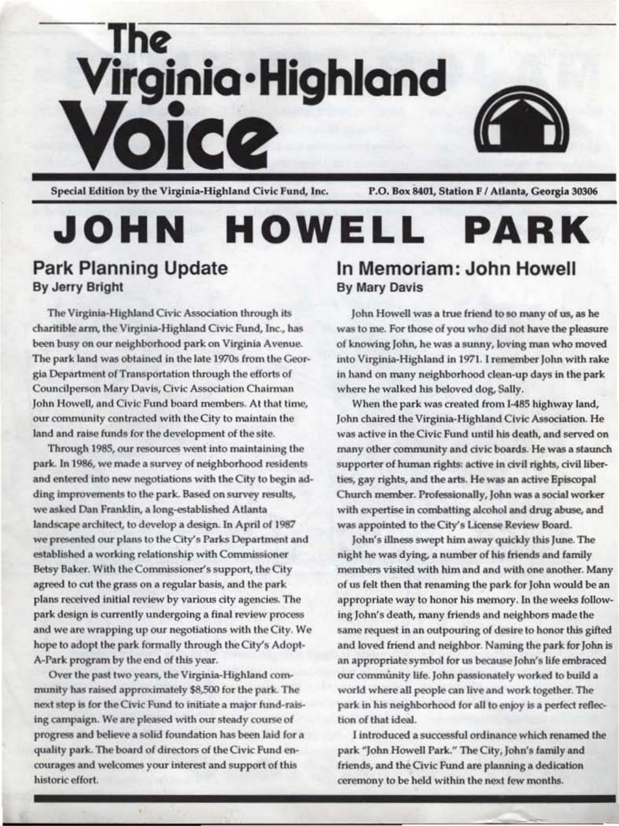

Special Edition by the Virginia-Highland Civic Fund, Inc.

P.O. Box 8401, Station F / Atlanta, Georgia 30306

## JOHN HOWELL **PARK**

#### **Park Planning Update** By Jerry Bright

The Virginia-Highland Civic Association through its charitible arm, the Virginia-Highland Civic Fund, Inc., has been busy on our neighborhood park on Virginia Avenue. The park land was obtained in the late 1970s from the Georgia Department of Transportation through the efforts of Councilperson Mary Davis, Civic Association Chairman John Howell, and Civic Fund board members. At that time, our community contracted with the City to maintain the land and raise funds for the development of the site.

Through 1985, our resources went into maintaining the park. In 1986, we made a survey of neighborhood residents and entered into new negotiations with the City to begin adding improvements to the park. Based on survey results, we asked Dan Franklin, a long-established Atlanta landscape architect, to develop a design. In April of 1987 we presented our plans to the City's Parks Department and established a working relationship with Commissioner Betsy Baker. With the Commissioner's support, the City agreed to cut the grass on a regular basis, and the park plans received initial review by various city agencies. The park design is currently undergoing a final review process and we are wrapping up our negotiations with the City. We hope to adopt the park formally through the City's Adopt-A-Park program by the end of this year.

Over the past two years, the Virginia-Highland community has raised approximately \$8,500 for the park. The next step is for the Civic Fund to initiate a major fund-raising campaign. We are pleased with our steady course of progress and believe a solid foundation has been laid for a quality park. The board of directors of the Civic Fund encourages and welcomes your interest and support of this historic effort.

#### In Memoriam: John Howell **By Mary Davis**

John Howell was a true friend to so many of us, as he was to me. For those of you who did not have the pleasure of knowing John, he was a sunny, loving man who moved into Virginia-Highland in 1971. I remember John with rake in hand on many neighborhood clean-up days in the park where he walked his beloved dog, Sally.

When the park was created from I-485 highway land, John chaired the Virginia-Highland Civic Association. He was active in the Civic Fund until his death, and served on many other community and civic boards. He was a staunch supporter of human rights: active in civil rights, civil liberties, gay rights, and the arts. He was an active Episcopal Church member. Professionally, John was a social worker with expertise in combatting alcohol and drug abuse, and was appointed to the City's License Review Board.

John's illness swept him away quickly this June. The night he was dying, a number of his friends and family members visited with him and and with one another. Many of us felt then that renaming the park for John would be an appropriate way to honor his memory. In the weeks following John's death, many friends and neighbors made the same request in an outpouring of desire to honor this gifted and loved friend and neighbor. Naming the park for John is an appropriate symbol for us because John's life embraced our community life. John passionately worked to build a world where all people can live and work together. The park in his neighborhood for all to enjoy is a perfect reflection of that ideal.

I introduced a successful ordinance which renamed the park "John Howell Park." The City, John's family and friends, and the Civic Fund are planning a dedication ceremony to be held within the next few months.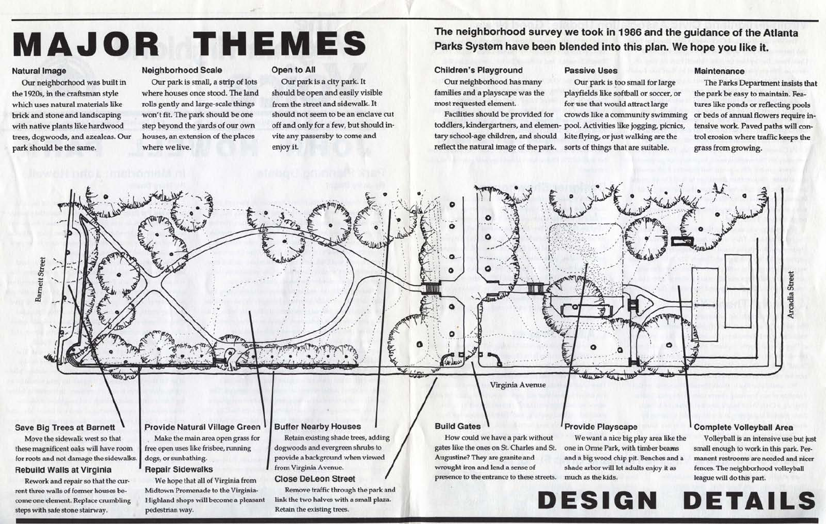# **MAJOR THEMES**

#### **Natural Image**

Our neighborhood was built in the 1920s, in the craftsman style which uses natural materials like brick and stone and landscaping with native plants like hardwood trees, dogwoods, and azealeas. Our park should be the same.

steps with safe stone stairway.

#### **Neighborhood Scale**

pedestrian way.

Our park is small, a strip of lots where houses once stood. The land rolls gently and large-scale things won't fit. The park should be one step beyond the yards of our own houses, an extension of the places where we live.

#### Open to All

Our park is a city park. It should be open and easily visible from the street and sidewalk. It should not seem to be an enclave cut off and only for a few, but should invite any passersby to come and enjoy it.

Retain the existing trees.

### The neighborhood survey we took in 1986 and the guidance of the Atlanta Parks System have been blended into this plan. We hope you like it.

#### **Children's Playground**

Our neighborhood has many families and a playscape was the most requested element.

Facilities should be provided for toddlers, kindergartners, and elemen- pool. Activities like jogging, picnics, tary school-age children, and should reflect the natural image of the park. sorts of things that are suitable.

# **Passive Uses**

Our park is too small for large playfields like softball or soccer, or for use that would attract large crowds like a community swimming kite flying, or just walking are the



#### **Maintenance**

The Parks Department insists that the park be easy to maintain. Features like ponds or reflecting pools or beds of annual flowers require intensive work. Paved paths will control erosion where traffic keeps the grass from growing.

Volleyball is an intensive use but just small enough to work in this park. Permanent restrooms are needed and nicer fences. The neighborhood volleyball